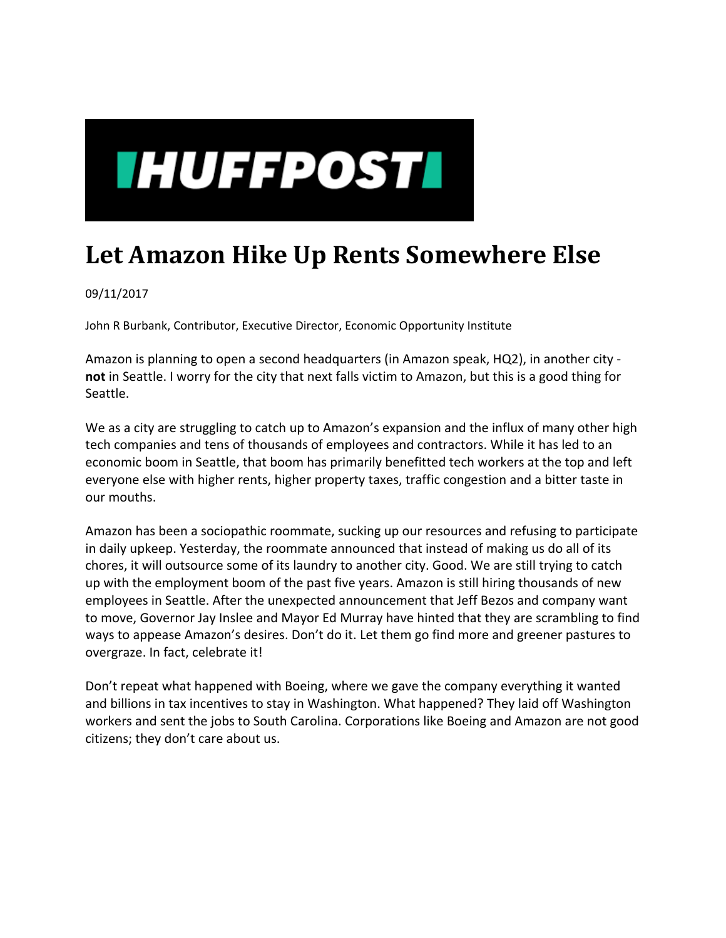

## **Let Amazon Hike Up Rents Somewhere Else**

09/11/2017

John R Burbank, Contributor, Executive Director, Economic Opportunity Institute

Amazon is planning to open a second headquarters (in Amazon speak, HQ2), in another city ‐ **not** in Seattle. I worry for the city that next falls victim to Amazon, but this is a good thing for Seattle.

We as a city are struggling to catch up to Amazon's expansion and the influx of many other high tech companies and tens of thousands of employees and contractors. While it has led to an economic boom in Seattle, that boom has primarily benefitted tech workers at the top and left everyone else with higher rents, higher property taxes, traffic congestion and a bitter taste in our mouths.

Amazon has been a sociopathic roommate, sucking up our resources and refusing to participate in daily upkeep. Yesterday, the roommate announced that instead of making us do all of its chores, it will outsource some of its laundry to another city. Good. We are still trying to catch up with the employment boom of the past five years. Amazon is still hiring thousands of new employees in Seattle. After the unexpected announcement that Jeff Bezos and company want to move, Governor Jay Inslee and Mayor Ed Murray have hinted that they are scrambling to find ways to appease Amazon's desires. Don't do it. Let them go find more and greener pastures to overgraze. In fact, celebrate it!

Don't repeat what happened with Boeing, where we gave the company everything it wanted and billions in tax incentives to stay in Washington. What happened? They laid off Washington workers and sent the jobs to South Carolina. Corporations like Boeing and Amazon are not good citizens; they don't care about us.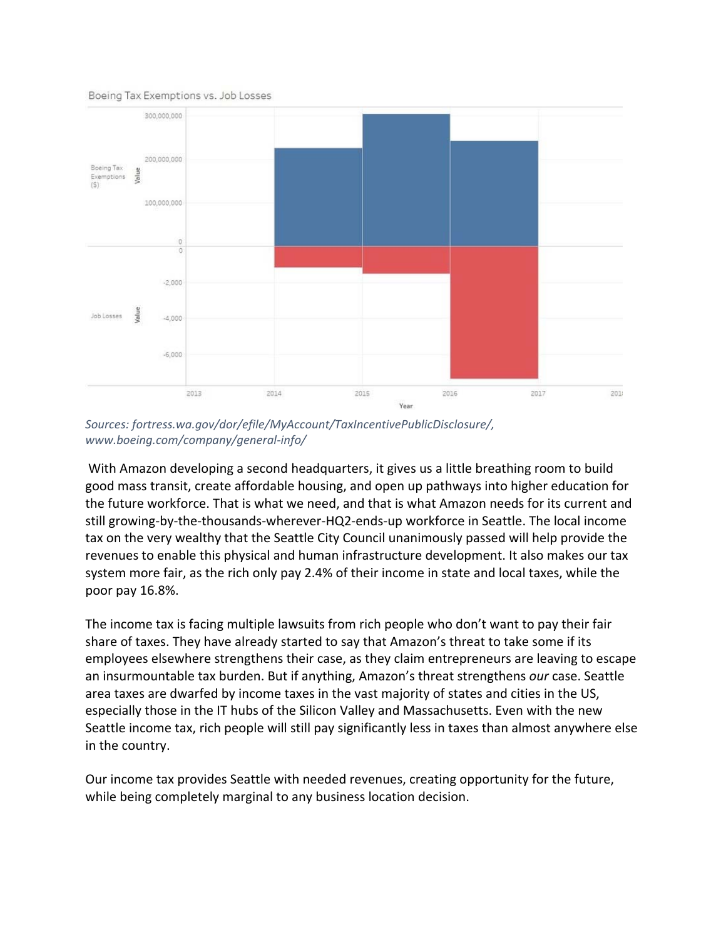Boeing Tax Exemptions vs. Job Losses



*Sources: fortress.wa.gov/dor/efile/MyAccount/TaxIncentivePublicDisclosure/, www.boeing.com/company/general‐info/*

With Amazon developing a second headquarters, it gives us a little breathing room to build good mass transit, create affordable housing, and open up pathways into higher education for the future workforce. That is what we need, and that is what Amazon needs for its current and still growing-by-the-thousands-wherever-HQ2-ends-up workforce in Seattle. The local income tax on the very wealthy that the Seattle City Council unanimously passed will help provide the revenues to enable this physical and human infrastructure development. It also makes our tax system more fair, as the rich only pay 2.4% of their income in state and local taxes, while the poor pay 16.8%.

The income tax is facing multiple lawsuits from rich people who don't want to pay their fair share of taxes. They have already started to say that Amazon's threat to take some if its employees elsewhere strengthens their case, as they claim entrepreneurs are leaving to escape an insurmountable tax burden. But if anything, Amazon's threat strengthens *our* case. Seattle area taxes are dwarfed by income taxes in the vast majority of states and cities in the US, especially those in the IT hubs of the Silicon Valley and Massachusetts. Even with the new Seattle income tax, rich people will still pay significantly less in taxes than almost anywhere else in the country.

Our income tax provides Seattle with needed revenues, creating opportunity for the future, while being completely marginal to any business location decision.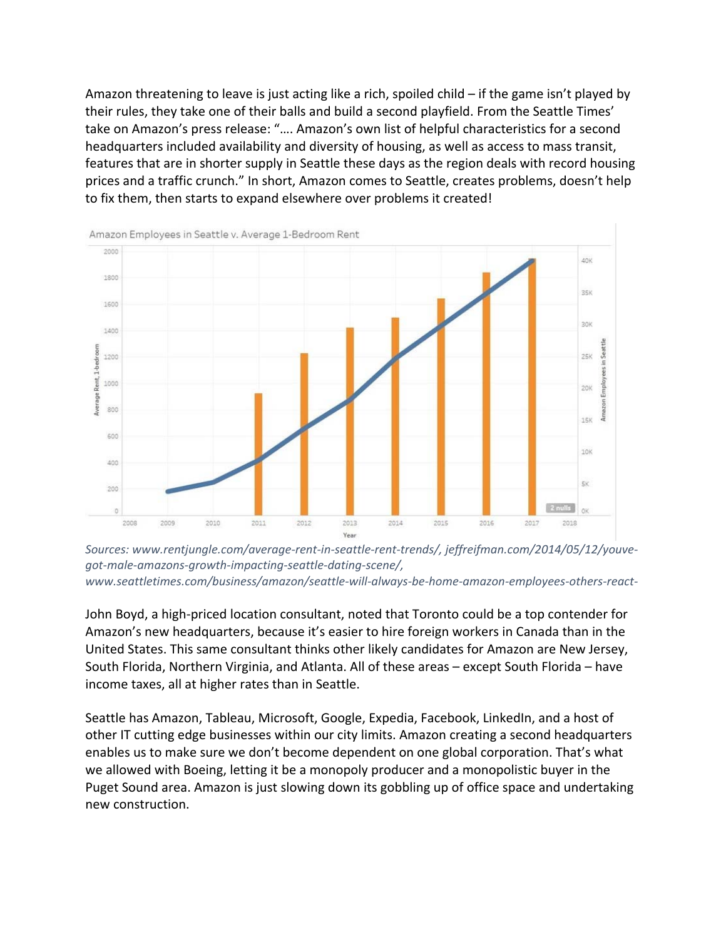Amazon threatening to leave is just acting like a rich, spoiled child – if the game isn't played by their rules, they take one of their balls and build a second playfield. From the Seattle Times' take on Amazon's press release: "…. Amazon's own list of helpful characteristics for a second headquarters included availability and diversity of housing, as well as access to mass transit, features that are in shorter supply in Seattle these days as the region deals with record housing prices and a traffic crunch." In short, Amazon comes to Seattle, creates problems, doesn't help to fix them, then starts to expand elsewhere over problems it created!



*Sources: www.rentjungle.com/average‐rent‐in‐seattle‐rent‐trends/, jeffreifman.com/2014/05/12/youve‐ got‐male‐amazons‐growth‐impacting‐seattle‐dating‐scene/, www.seattletimes.com/business/amazon/seattle‐will‐always‐be‐home‐amazon‐employees‐others‐react‐*

John Boyd, a high‐priced location consultant, noted that Toronto could be a top contender for Amazon's new headquarters, because it's easier to hire foreign workers in Canada than in the United States. This same consultant thinks other likely candidates for Amazon are New Jersey, South Florida, Northern Virginia, and Atlanta. All of these areas – except South Florida – have income taxes, all at higher rates than in Seattle.

Seattle has Amazon, Tableau, Microsoft, Google, Expedia, Facebook, LinkedIn, and a host of other IT cutting edge businesses within our city limits. Amazon creating a second headquarters enables us to make sure we don't become dependent on one global corporation. That's what we allowed with Boeing, letting it be a monopoly producer and a monopolistic buyer in the Puget Sound area. Amazon is just slowing down its gobbling up of office space and undertaking new construction.